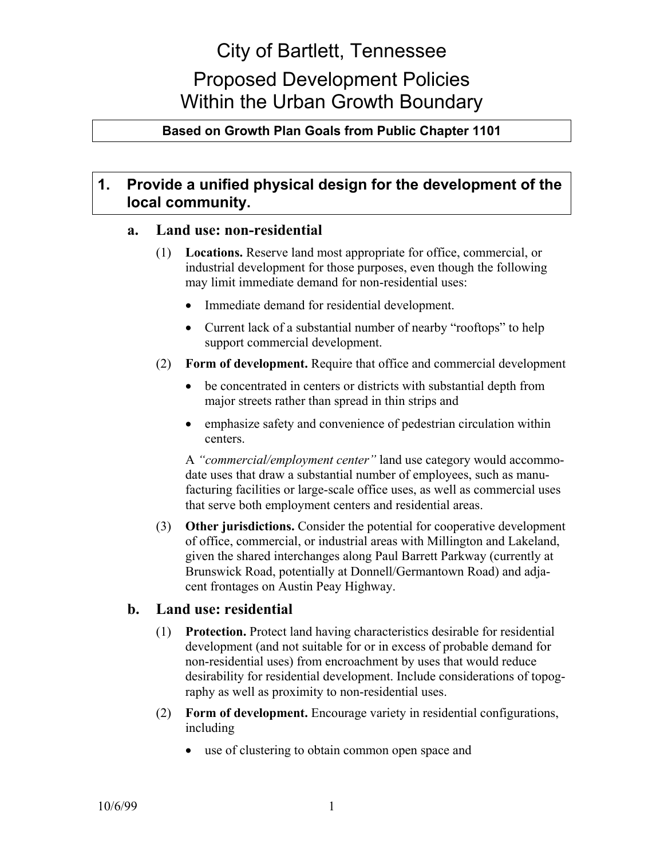# City of Bartlett, Tennessee

# Proposed Development Policies Within the Urban Growth Boundary

# **Based on Growth Plan Goals from Public Chapter 1101**

# **1. Provide a unified physical design for the development of the local community.**

## **a. Land use: non-residential**

- (1) **Locations.** Reserve land most appropriate for office, commercial, or industrial development for those purposes, even though the following may limit immediate demand for non-residential uses:
	- Immediate demand for residential development.
	- Current lack of a substantial number of nearby "rooftops" to help support commercial development.
- (2) **Form of development.** Require that office and commercial development
	- be concentrated in centers or districts with substantial depth from major streets rather than spread in thin strips and
	- emphasize safety and convenience of pedestrian circulation within centers.

A *"commercial/employment center"* land use category would accommodate uses that draw a substantial number of employees, such as manufacturing facilities or large-scale office uses, as well as commercial uses that serve both employment centers and residential areas.

(3) **Other jurisdictions.** Consider the potential for cooperative development of office, commercial, or industrial areas with Millington and Lakeland, given the shared interchanges along Paul Barrett Parkway (currently at Brunswick Road, potentially at Donnell/Germantown Road) and adjacent frontages on Austin Peay Highway.

## **b. Land use: residential**

- (1) **Protection.** Protect land having characteristics desirable for residential development (and not suitable for or in excess of probable demand for non-residential uses) from encroachment by uses that would reduce desirability for residential development. Include considerations of topography as well as proximity to non-residential uses.
- (2) **Form of development.** Encourage variety in residential configurations, including
	- use of clustering to obtain common open space and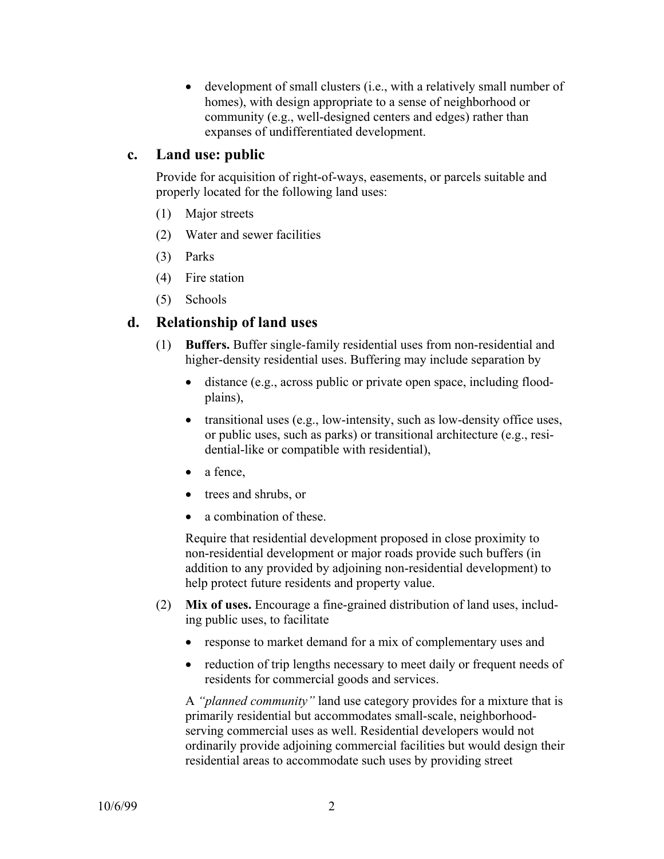• development of small clusters (i.e., with a relatively small number of homes), with design appropriate to a sense of neighborhood or community (e.g., well-designed centers and edges) rather than expanses of undifferentiated development.

# **c. Land use: public**

Provide for acquisition of right-of-ways, easements, or parcels suitable and properly located for the following land uses:

- (1) Major streets
- (2) Water and sewer facilities
- (3) Parks
- (4) Fire station
- (5) Schools

# **d. Relationship of land uses**

- (1) **Buffers.** Buffer single-family residential uses from non-residential and higher-density residential uses. Buffering may include separation by
	- distance (e.g., across public or private open space, including floodplains),
	- transitional uses (e.g., low-intensity, such as low-density office uses, or public uses, such as parks) or transitional architecture (e.g., residential-like or compatible with residential),
	- a fence,
	- trees and shrubs, or
	- a combination of these.

Require that residential development proposed in close proximity to non-residential development or major roads provide such buffers (in addition to any provided by adjoining non-residential development) to help protect future residents and property value.

- (2) **Mix of uses.** Encourage a fine-grained distribution of land uses, including public uses, to facilitate
	- response to market demand for a mix of complementary uses and
	- reduction of trip lengths necessary to meet daily or frequent needs of residents for commercial goods and services.

A *"planned community"* land use category provides for a mixture that is primarily residential but accommodates small-scale, neighborhoodserving commercial uses as well. Residential developers would not ordinarily provide adjoining commercial facilities but would design their residential areas to accommodate such uses by providing street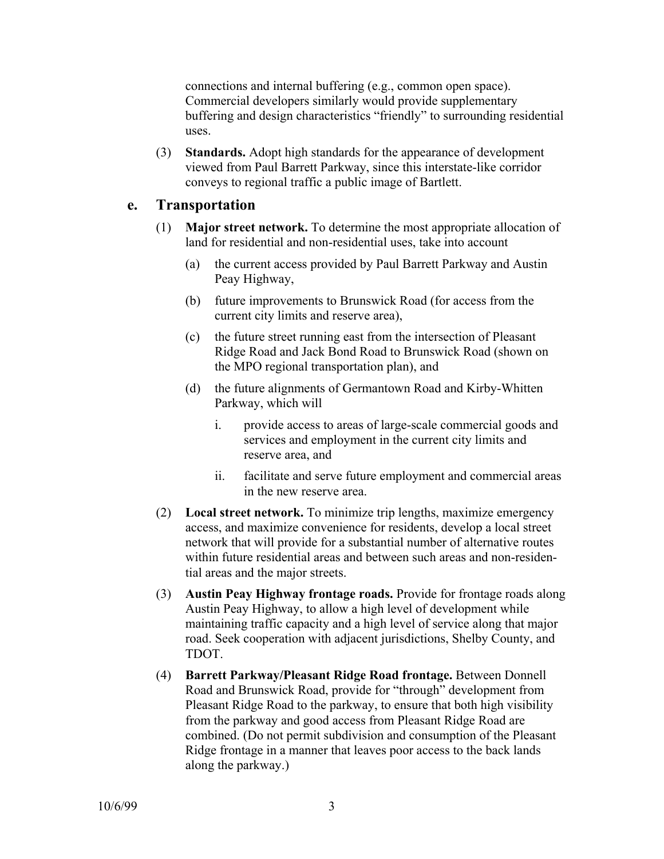connections and internal buffering (e.g., common open space). Commercial developers similarly would provide supplementary buffering and design characteristics "friendly" to surrounding residential uses.

(3) **Standards.** Adopt high standards for the appearance of development viewed from Paul Barrett Parkway, since this interstate-like corridor conveys to regional traffic a public image of Bartlett.

# **e. Transportation**

- (1) **Major street network.** To determine the most appropriate allocation of land for residential and non-residential uses, take into account
	- (a) the current access provided by Paul Barrett Parkway and Austin Peay Highway,
	- (b) future improvements to Brunswick Road (for access from the current city limits and reserve area),
	- (c) the future street running east from the intersection of Pleasant Ridge Road and Jack Bond Road to Brunswick Road (shown on the MPO regional transportation plan), and
	- (d) the future alignments of Germantown Road and Kirby-Whitten Parkway, which will
		- i. provide access to areas of large-scale commercial goods and services and employment in the current city limits and reserve area, and
		- ii. facilitate and serve future employment and commercial areas in the new reserve area.
- (2) **Local street network.** To minimize trip lengths, maximize emergency access, and maximize convenience for residents, develop a local street network that will provide for a substantial number of alternative routes within future residential areas and between such areas and non-residential areas and the major streets.
- (3) **Austin Peay Highway frontage roads.** Provide for frontage roads along Austin Peay Highway, to allow a high level of development while maintaining traffic capacity and a high level of service along that major road. Seek cooperation with adjacent jurisdictions, Shelby County, and TDOT.
- (4) **Barrett Parkway/Pleasant Ridge Road frontage.** Between Donnell Road and Brunswick Road, provide for "through" development from Pleasant Ridge Road to the parkway, to ensure that both high visibility from the parkway and good access from Pleasant Ridge Road are combined. (Do not permit subdivision and consumption of the Pleasant Ridge frontage in a manner that leaves poor access to the back lands along the parkway.)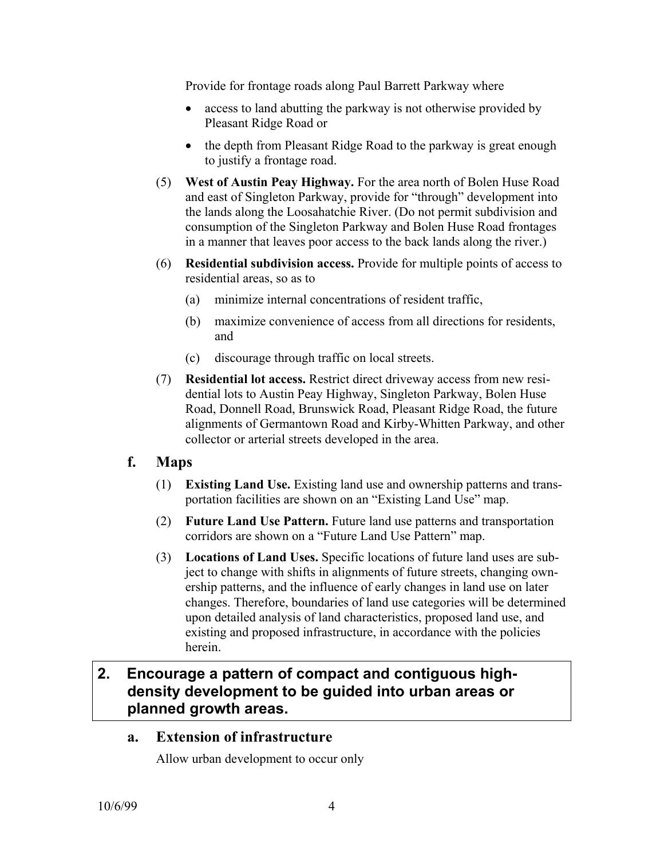Provide for frontage roads along Paul Barrett Parkway where

- access to land abutting the parkway is not otherwise provided by Pleasant Ridge Road or
- the depth from Pleasant Ridge Road to the parkway is great enough to justify a frontage road.
- (5) **West of Austin Peay Highway.** For the area north of Bolen Huse Road and east of Singleton Parkway, provide for "through" development into the lands along the Loosahatchie River. (Do not permit subdivision and consumption of the Singleton Parkway and Bolen Huse Road frontages in a manner that leaves poor access to the back lands along the river.)
- (6) **Residential subdivision access.** Provide for multiple points of access to residential areas, so as to
	- (a) minimize internal concentrations of resident traffic,
	- (b) maximize convenience of access from all directions for residents, and
	- (c) discourage through traffic on local streets.
- (7) **Residential lot access.** Restrict direct driveway access from new residential lots to Austin Peay Highway, Singleton Parkway, Bolen Huse Road, Donnell Road, Brunswick Road, Pleasant Ridge Road, the future alignments of Germantown Road and Kirby-Whitten Parkway, and other collector or arterial streets developed in the area.

# **f. Maps**

- (1) **Existing Land Use.** Existing land use and ownership patterns and transportation facilities are shown on an "Existing Land Use" map.
- (2) **Future Land Use Pattern.** Future land use patterns and transportation corridors are shown on a "Future Land Use Pattern" map.
- (3) **Locations of Land Uses.** Specific locations of future land uses are subject to change with shifts in alignments of future streets, changing ownership patterns, and the influence of early changes in land use on later changes. Therefore, boundaries of land use categories will be determined upon detailed analysis of land characteristics, proposed land use, and existing and proposed infrastructure, in accordance with the policies herein.

# **2. Encourage a pattern of compact and contiguous highdensity development to be guided into urban areas or planned growth areas.**

## **a. Extension of infrastructure**

Allow urban development to occur only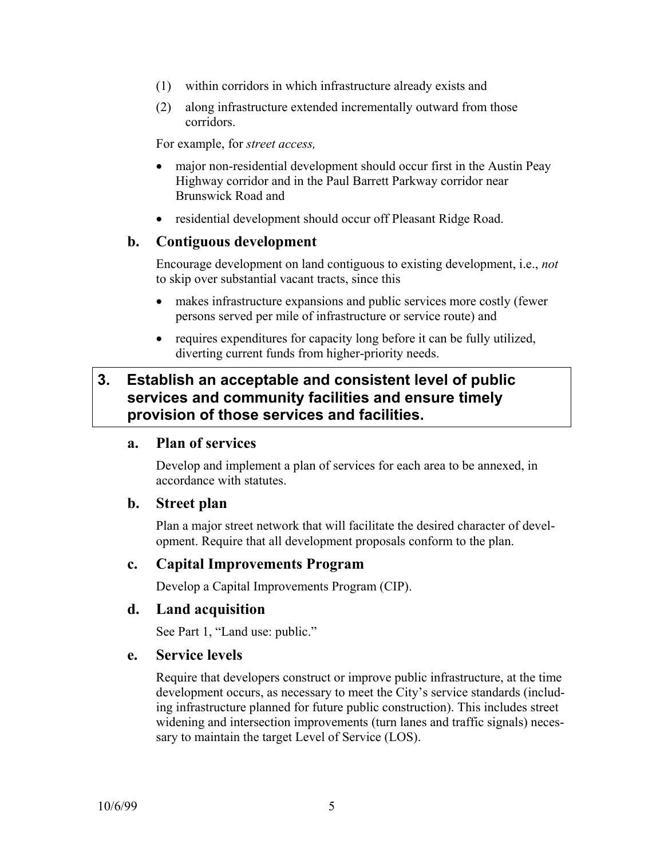- (1) within corridors in which infrastructure already exists and
- (2) along infrastructure extended incrementally outward from those corridors.

For example, for *street access,*

- major non-residential development should occur first in the Austin Peay Highway corridor and in the Paul Barrett Parkway corridor near Brunswick Road and
- residential development should occur off Pleasant Ridge Road.

## **b. Contiguous development**

Encourage development on land contiguous to existing development, i.e., *not* to skip over substantial vacant tracts, since this

- makes infrastructure expansions and public services more costly (fewer persons served per mile of infrastructure or service route) and
- requires expenditures for capacity long before it can be fully utilized, diverting current funds from higher-priority needs.

# **3. Establish an acceptable and consistent level of public services and community facilities and ensure timely provision of those services and facilities.**

#### **a. Plan of services**

Develop and implement a plan of services for each area to be annexed, in accordance with statutes.

#### **b. Street plan**

Plan a major street network that will facilitate the desired character of development. Require that all development proposals conform to the plan.

## **c. Capital Improvements Program**

Develop a Capital Improvements Program (CIP).

#### **d. Land acquisition**

See Part 1, "Land use: public."

#### **e. Service levels**

Require that developers construct or improve public infrastructure, at the time development occurs, as necessary to meet the City's service standards (including infrastructure planned for future public construction). This includes street widening and intersection improvements (turn lanes and traffic signals) necessary to maintain the target Level of Service (LOS).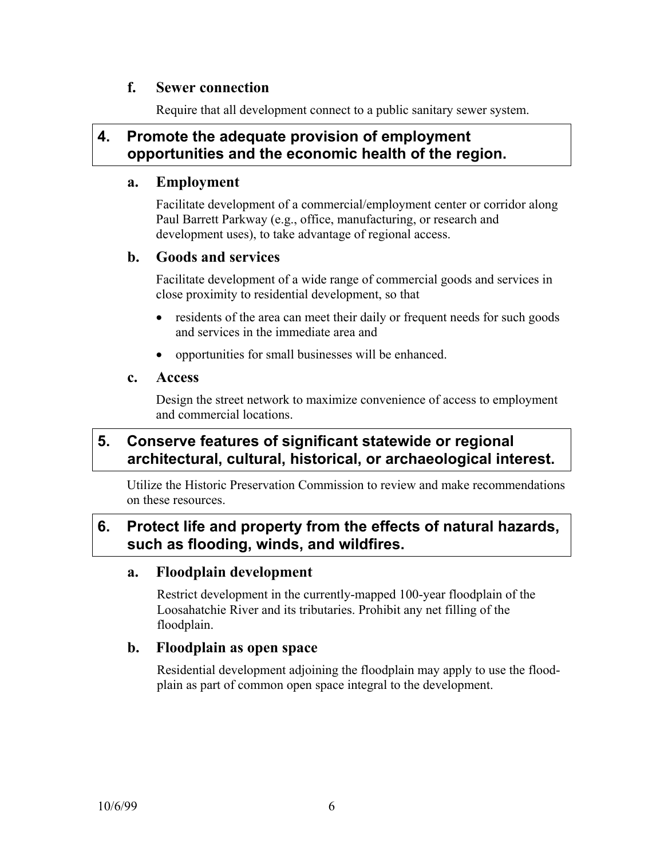## **f. Sewer connection**

Require that all development connect to a public sanitary sewer system.

# **4. Promote the adequate provision of employment opportunities and the economic health of the region.**

#### **a. Employment**

Facilitate development of a commercial/employment center or corridor along Paul Barrett Parkway (e.g., office, manufacturing, or research and development uses), to take advantage of regional access.

## **b. Goods and services**

Facilitate development of a wide range of commercial goods and services in close proximity to residential development, so that

- residents of the area can meet their daily or frequent needs for such goods and services in the immediate area and
- opportunities for small businesses will be enhanced.

#### **c. Access**

Design the street network to maximize convenience of access to employment and commercial locations.

# **5. Conserve features of significant statewide or regional architectural, cultural, historical, or archaeological interest.**

Utilize the Historic Preservation Commission to review and make recommendations on these resources.

# **6. Protect life and property from the effects of natural hazards, such as flooding, winds, and wildfires.**

## **a. Floodplain development**

Restrict development in the currently-mapped 100-year floodplain of the Loosahatchie River and its tributaries. Prohibit any net filling of the floodplain.

## **b. Floodplain as open space**

Residential development adjoining the floodplain may apply to use the floodplain as part of common open space integral to the development.